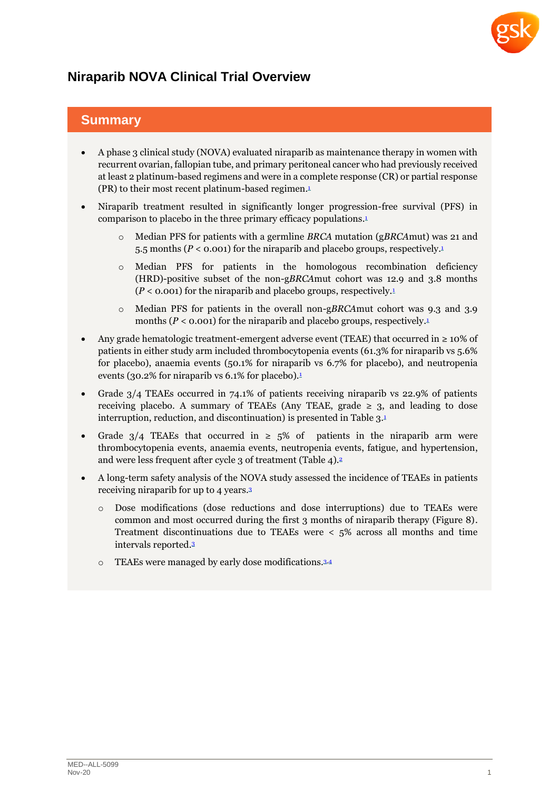

# **Niraparib NOVA Clinical Trial Overview**

## **Summary**

- A phase 3 clinical study (NOVA) evaluated niraparib as maintenance therapy in women with recurrent ovarian, fallopian tube, and primary peritoneal cancer who had previously received at least 2 platinum-based regimens and were in a complete response (CR) or partial response (PR) to their most recent platinum-based regimen[.](#page-4-0) $1$
- Niraparib treatment resulted in significantly longer progression-free survival (PFS) in comparison to placebo in the three primary efficacy populations[.](#page-4-0) 1
	- o Median PFS for patients with a germline *BRCA* mutation (g*BRCA*mut) was 21 and 5.5 months (*P* < 0.001) for the niraparib and placebo groups, respectively[.](#page-4-0) 1
	- $\circ$  Median PFS for patients in the homologous recombination deficiency (HRD)-positive subset of the non-g*BRCA*mut cohort was 12.9 and 3.8 months  $(P < 0.001)$  $(P < 0.001)$  $(P < 0.001)$  for the niraparib and placebo groups, respectively.<sup>1</sup>
	- o Median PFS for patients in the overall non-g*BRCA*mut cohort was 9.3 and 3.9 months ( $P < 0.001$  $P < 0.001$  $P < 0.001$ ) for the niraparib and placebo groups, respectively.<sup>1</sup>
- Any grade hematologic treatment-emergent adverse event (TEAE) that occurred in ≥ 10% of patients in either study arm included thrombocytopenia events (61.3% for niraparib vs 5.6% for placebo), anaemia events (50.1% for niraparib vs 6.7% for placebo), and neutropenia events (30.2% for niraparib vs  $6.1\%$  $6.1\%$  $6.1\%$  for placebo).<sup>1</sup>
- Grade 3/4 TEAEs occurred in 74.1% of patients receiving niraparib vs 22.9% of patients receiving placebo. A summary of TEAEs (Any TEAE, grade  $\geq$  3, and leading to dose interruption, reduction, and discontinuation) is presented in Table 3.[1](#page-4-0)
- Grade  $3/4$  TEAEs that occurred in  $\geq 5\%$  of patients in the niraparib arm were thrombocytopenia events, anaemia events, neutropenia events, fatigue, and hypertension, and were less frequent after cycle 3 of treatment (Table 4). [2](#page-4-1)
- A long-term safety analysis of the NOVA study assessed the incidence of TEAEs in patients receiving niraparib for up to 4 years. [3](#page-5-0)
	- o Dose modifications (dose reductions and dose interruptions) due to TEAEs were common and most occurred during the first 3 months of niraparib therapy (Figure 8). Treatment discontinuations due to TEAEs were < 5% across all months and time intervals reported. [3](#page-5-0)
	- o TEAEs were managed by early dose modifications.<sup>3.[4](#page-5-1)</sup>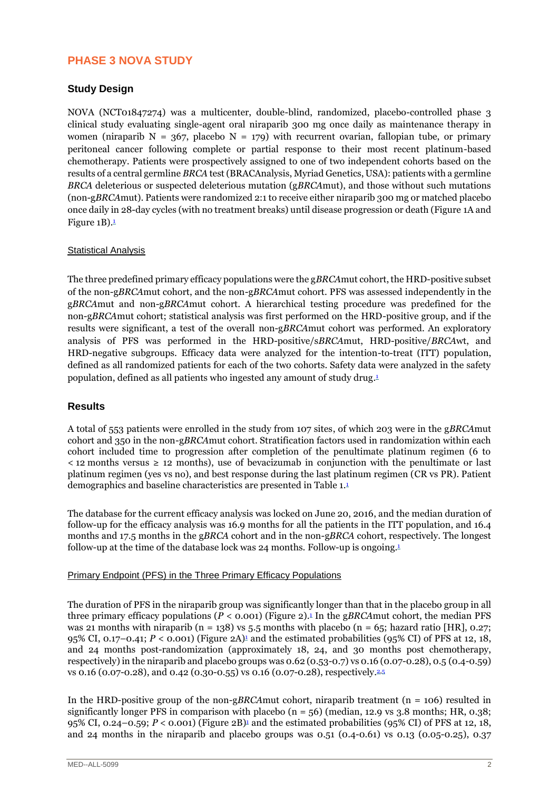## **PHASE 3 NOVA STUDY**

## **Study Design**

NOVA (NCT01847274) was a multicenter, double-blind, randomized, placebo-controlled phase 3 clinical study evaluating single-agent oral niraparib 300 mg once daily as maintenance therapy in women (niraparib  $N = 367$ , placebo  $N = 179$ ) with recurrent ovarian, fallopian tube, or primary peritoneal cancer following complete or partial response to their most recent platinum-based chemotherapy. Patients were prospectively assigned to one of two independent cohorts based on the results of a central germline *BRCA* test (BRACAnalysis, Myriad Genetics, USA): patients with a germline *BRCA* deleterious or suspected deleterious mutation (g*BRCA*mut), and those without such mutations (non-g*BRCA*mut). Patients were randomized 2:1 to receive either niraparib 300 mg or matched placebo once daily in 28-day cycles (with no treatment breaks) until disease progression or death (Figure 1A and Figure 1B)[.](#page-4-0) 1

### Statistical Analysis

The three predefined primary efficacy populations were the g*BRCA*mut cohort, the HRD-positive subset of the non-g*BRCA*mut cohort, and the non-g*BRCA*mut cohort. PFS was assessed independently in the g*BRCA*mut and non-g*BRCA*mut cohort. A hierarchical testing procedure was predefined for the non-g*BRCA*mut cohort; statistical analysis was first performed on the HRD-positive group, and if the results were significant, a test of the overall non-g*BRCA*mut cohort was performed. An exploratory analysis of PFS was performed in the HRD-positive/s*BRCA*mut, HRD-positive/*BRCA*wt, and HRD-negative subgroups. Efficacy data were analyzed for the intention-to-treat (ITT) population, defined as all randomized patients for each of the two cohorts. Safety data were analyzed in the safety population, defined as all patients who ingested any amount of study drug[.](#page-4-0) 1

## **Results**

A total of 553 patients were enrolled in the study from 107 sites, of which 203 were in the g*BRCA*mut cohort and 350 in the non-g*BRCA*mut cohort. Stratification factors used in randomization within each cohort included time to progression after completion of the penultimate platinum regimen (6 to < 12 months versus ≥ 12 months), use of bevacizumab in conjunction with the penultimate or last platinum regimen (yes vs no), and best response during the last platinum regimen (CR vs PR). Patient demographics and baseline characteristics are presented in Table 1[.](#page-4-0)<sup>1</sup>

The database for the current efficacy analysis was locked on June 20, 2016, and the median duration of follow-up for the efficacy analysis was 16.9 months for all the patients in the ITT population, and 16.4 months and 17.5 months in the g*BRCA* cohort and in the non-g*BRCA* cohort, respectively. The longest follow-up at the time of the database lock was 24 months. Follow-up is ongoing[.](#page-4-0) 1

#### Primary Endpoint (PFS) in the Three Primary Efficacy Populations

The duration of PFS in the niraparib group was significantly longer than that in the placebo group in all three primary efficacy populations  $(P < 0.001)$  $(P < 0.001)$  $(P < 0.001)$  (Figure 2).<sup>1</sup> In the g*BRCA* mut cohort, the median PFS was 21 months with niraparib (n = 138) vs 5.5 months with placebo (n = 65; hazard ratio [HR], 0.27; 95% CI, 0.[1](#page-4-0)7–0.41;  $P < 0.001$  (Figure 2A)<sup>1</sup> and the estimated probabilities (95% CI) of PFS at 12, 18, and 24 months post-randomization (approximately 18, 24, and 30 months post chemotherapy, respectively) in the niraparib and placebo groups was 0.62 (0.53-0.7) vs 0.16 (0.07-0.28), 0.5 (0.4-0.59) vs 0.16 (0.07-0.28), and 0.42 (0.30-0.55) vs 0.16 (0.07-0.28), respectively. [2,](#page-4-1)[5](#page-5-2)

In the HRD-positive group of the non-g*BRCA*mut cohort, niraparib treatment (n = 106) resulted in significantly longer PFS in comparison with placebo ( $n = 56$ ) (median, 12.9 vs 3.8 months; HR, 0.38; 95% CI, 0.24–0.59; *P* < 0.001) (Figure 2B)[1](#page-4-0) and the estimated probabilities (95% CI) of PFS at 12, 18, and 24 months in the niraparib and placebo groups was  $0.51$   $(0.4-0.61)$  vs  $0.13$   $(0.05-0.25)$ ,  $0.37$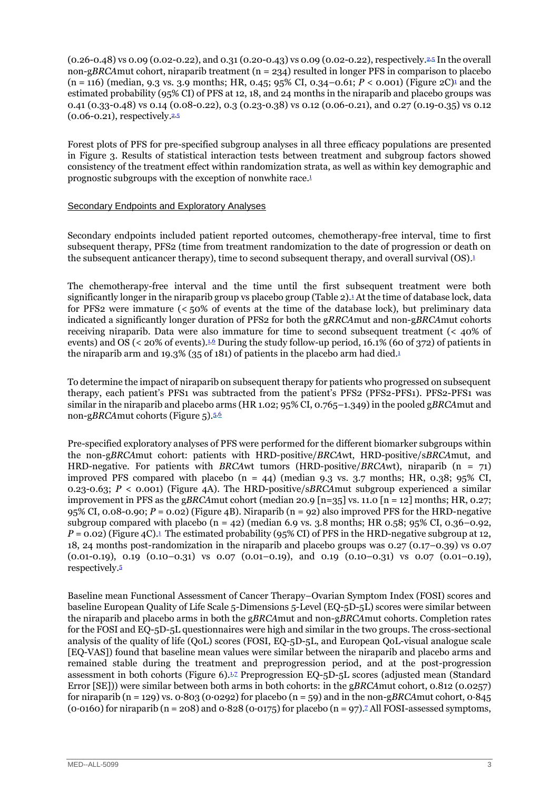(0.26-0.48) vs 0.09 (0.02-0.22), and 0.31 (0.20-0.43) vs 0.09 (0.02-0.22), respectively. [2,](#page-4-1)[5](#page-5-2) In the overall non-g*BRCA*mut cohort, niraparib treatment (n = 234) resulted in longer PFS in comparison to placebo  $(n = 116)$  $(n = 116)$  $(n = 116)$  (median, 9.3 vs. 3.9 months; HR, 0.45; 95% CI, 0.34–0.61;  $P < 0.001$ ) (Figure 2C)<sup>1</sup> and the estimated probability (95% CI) of PFS at 12, 18, and 24 months in the niraparib and placebo groups was 0.41 (0.33-0.48) vs 0.14 (0.08-0.22), 0.3 (0.23-0.38) vs 0.12 (0.06-0.21), and 0.27 (0.19-0.35) vs 0.12 (0.06-0.21), respectively. [2,](#page-4-1)[5](#page-5-2)

Forest plots of PFS for pre-specified subgroup analyses in all three efficacy populations are presented in Figure 3. Results of statistical interaction tests between treatment and subgroup factors showed consistency of the treatment effect within randomization strata, as well as within key demographic and prognostic subgroups with the exception of nonwhite race[.](#page-4-0) 1

#### Secondary Endpoints and Exploratory Analyses

Secondary endpoints included patient reported outcomes, chemotherapy-free interval, time to first subsequent therapy, PFS2 (time from treatment randomization to the date of progression or death on the subsequent anticancer therapy), time to second subsequent therapy, and overall survival (OS)[.](#page-4-0) 1

The chemotherapy-free interval and the time until the first subsequent treatment were both significantly longer in the niraparib group vs placebo group (Table 2).[1](#page-4-0) At the time of database lock, data for PFS2 were immature (< 50% of events at the time of the database lock), but preliminary data indicated a significantly longer duration of PFS2 for both the g*RRCA*mut and non-g*BRCA*mut cohorts receiving niraparib. Data were also immature for time to second subsequent treatment ( $\lt$  40% of events) and OS (< 20% of events).<sup>1[6](#page-5-3)</sup> During the study follow-up period, 16.1% (60 of 372) of patients in the niraparib arm and [1](#page-4-0)9.3% (35 of 181) of patients in the placebo arm had died.<sup>1</sup>

To determine the impact of niraparib on subsequent therapy for patients who progressed on subsequent therapy, each patient's PFS1 was subtracted from the patient's PFS2 (PFS2-PFS1). PFS2-PFS1 was similar in the niraparib and placebo arms (HR 1.02; 95% CI, 0.765–1.349) in the pooled g*BRCA*mut and non-g*BRCA*mut cohorts (Figure 5).<sup>[5,](#page-5-2)[6](#page-5-3)</sup>

Pre-specified exploratory analyses of PFS were performed for the different biomarker subgroups within the non-g*BRCA*mut cohort: patients with HRD-positive/*BRCA*wt, HRD-positive/s*BRCA*mut, and HRD-negative. For patients with *BRCA*wt tumors (HRD-positive/*BRCA*wt), niraparib (n = 71) improved PFS compared with placebo  $(n = 44)$  (median 9.3 vs. 3.7 months; HR, 0.38; 95% CI, 0.23-0.63; *P* < 0.001) (Figure 4A). The HRD-positive/s*BRCA*mut subgroup experienced a similar improvement in PFS as the g*BRCA*mut cohort (median 20.9 [n=35] vs. 11.0 [n = 12] months; HR, 0.27; 95% CI, 0.08-0.90; *P* = 0.02) (Figure 4B). Niraparib (n = 92) also improved PFS for the HRD-negative subgroup compared with placebo ( $n = 42$ ) (median 6.9 vs. 3.8 months; HR 0.58; 95% CI, 0.36–0.92,  $P = 0.02$ ) (Figure 4C).<sup>[1](#page-4-0)</sup> The estimated probability (95% CI) of PFS in the HRD-negative subgroup at 12, 18, 24 months post-randomization in the niraparib and placebo groups was 0.27 (0.17–0.39) vs 0.07  $(0.01-0.19)$ ,  $0.19$   $(0.10-0.31)$  vs  $0.07$   $(0.01-0.19)$ , and  $0.19$   $(0.10-0.31)$  vs  $0.07$   $(0.01-0.19)$ , respectively.[5](#page-5-2)

Baseline mean Functional Assessment of Cancer Therapy–Ovarian Symptom Index (FOSI) scores and baseline European Quality of Life Scale 5-Dimensions 5-Level (EQ-5D-5L) scores were similar between the niraparib and placebo arms in both the g*BRCA*mut and non-g*BRCA*mut cohorts. Completion rates for the FOSI and EQ-5D-5L questionnaires were high and similar in the two groups. The cross-sectional analysis of the quality of life (QoL) scores (FOSI, EQ-5D-5L, and European QoL-visual analogue scale [EQ-VAS]) found that baseline mean values were similar between the niraparib and placebo arms and remained stable during the treatment and preprogression period, and at the post-progression assessment in both cohorts (Figure 6).<sup>[1](#page-4-0)7</sup> Preprogression EQ-5D-5L scores (adjusted mean (Standard Error [SE])) were similar between both arms in both cohorts: in the g*BRCA*mut cohort, 0.812 (0.0257) for niraparib (n = 129) vs. 0∙803 (0∙0292) for placebo (n = 59) and in the non-g*BRCA*mut cohort, 0∙845 (0⋅0160) for niraparib (n = 208) and 0⋅828 (0⋅01[7](#page-5-4)5) for placebo (n = 97).<sup>7</sup> All FOSI-assessed symptoms,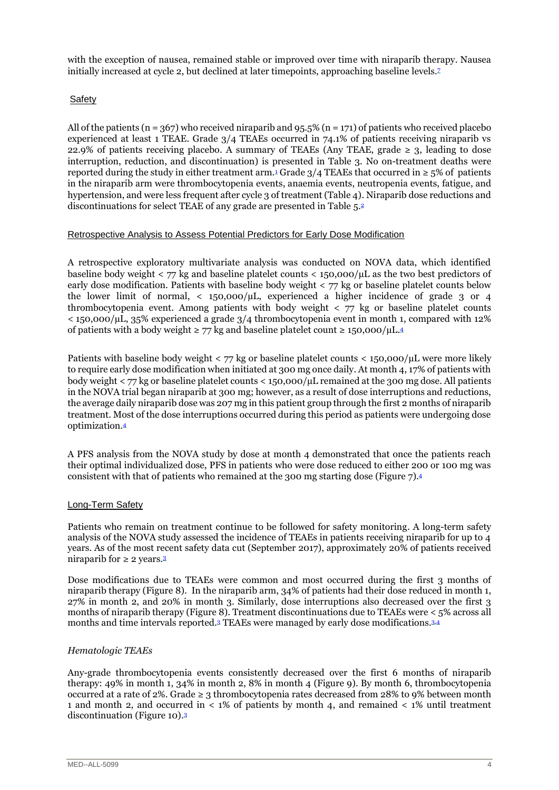with the exception of nausea, remained stable or improved over time with niraparib therapy. Nausea initially increased at cycle 2, but declined at later timepoints, approaching baseline levels.[7](#page-5-4)

### Safety

All of the patients (n = 367) who received niraparib and 95.5% (n = 171) of patients who received placebo experienced at least 1 TEAE. Grade 3/4 TEAEs occurred in 74.1% of patients receiving niraparib vs 22.9% of patients receiving placebo. A summary of TEAEs (Any TEAE, grade  $\geq$  3, leading to dose interruption, reduction, and discontinuation) is presented in Table 3. No on-treatment deaths were reported during the study in either treatment arm.<sup>[1](#page-4-0)</sup> Grade  $3/4$  TEAEs that occurred in  $\geq 5\%$  of patients in the niraparib arm were thrombocytopenia events, anaemia events, neutropenia events, fatigue, and hypertension, and were less frequent after cycle 3 of treatment (Table 4). Niraparib dose reductions and discontinuations for select TEAE of any grade are presented in Table 5[.](#page-4-1)<sup>2</sup>

#### Retrospective Analysis to Assess Potential Predictors for Early Dose Modification

A retrospective exploratory multivariate analysis was conducted on NOVA data, which identified baseline body weight  $\langle 77 \rangle$  kg and baseline platelet counts  $\langle 150.000/\mu$  as the two best predictors of early dose modification. Patients with baseline body weight < 77 kg or baseline platelet counts below the lower limit of normal,  $\langle 150,000/\mu L,$  experienced a higher incidence of grade 3 or 4 thrombocytopenia event. Among patients with body weight < 77 kg or baseline platelet counts  $\leq$  150,000/ $\mu$ L, 35% experienced a grade 3/4 thrombocytopenia event in month 1, compared with 12% of patients with a body weight ≥ 77 kg and baseline platelet count ≥ 150,000/ $\mu$ L.<sup>[4](#page-5-1)</sup>

Patients with baseline body weight  $\langle 77 \text{ kg} \rangle$  or baseline platelet counts  $\langle 150,000 \rangle$   $\mu$ L were more likely to require early dose modification when initiated at 300 mg once daily. At month 4, 17% of patients with body weight < 77 kg or baseline platelet counts < 150,000/µL remained at the 300 mg dose. All patients in the NOVA trial began niraparib at 300 mg; however, as a result of dose interruptions and reductions, the average daily niraparib dose was 207 mg in this patient group through the first 2 months of niraparib treatment. Most of the dose interruptions occurred during this period as patients were undergoing dose optimization.[4](#page-5-1)

A PFS analysis from the NOVA study by dose at month 4 demonstrated that once the patients reach their optimal individualized dose, PFS in patients who were dose reduced to either 200 or 100 mg was consistent with that of patients who remained at the 300 mg starting dose (Figure 7).[4](#page-5-1)

#### Long-Term Safety

Patients who remain on treatment continue to be followed for safety monitoring. A long-term safety analysis of the NOVA study assessed the incidence of TEAEs in patients receiving niraparib for up to 4 years. As of the most recent safety data cut (September 2017), approximately 20% of patients received niraparib for  $\geq 2$  years.<sup>[3](#page-5-0)</sup>

Dose modifications due to TEAEs were common and most occurred during the first 3 months of niraparib therapy (Figure 8). In the niraparib arm, 34% of patients had their dose reduced in month 1, 27% in month 2, and 20% in month 3. Similarly, dose interruptions also decreased over the first 3 months of niraparib therapy (Figure 8). Treatment discontinuations due to TEAEs were < 5% across all months and time intervals reported.<sup>[3](#page-5-0)</sup> TEAEs were managed by early dose modifications.<sup>[3,](#page-5-0)[4](#page-5-1)</sup>

#### *Hematologic TEAEs*

Any-grade thrombocytopenia events consistently decreased over the first 6 months of niraparib therapy: 49% in month 1, 34% in month 2, 8% in month 4 (Figure 9). By month 6, thrombocytopenia occurred at a rate of 2%. Grade ≥ 3 thrombocytopenia rates decreased from 28% to 9% between month 1 and month 2, and occurred in < 1% of patients by month 4, and remained < 1% until treatment discontinuation (Figure 10).[3](#page-5-0)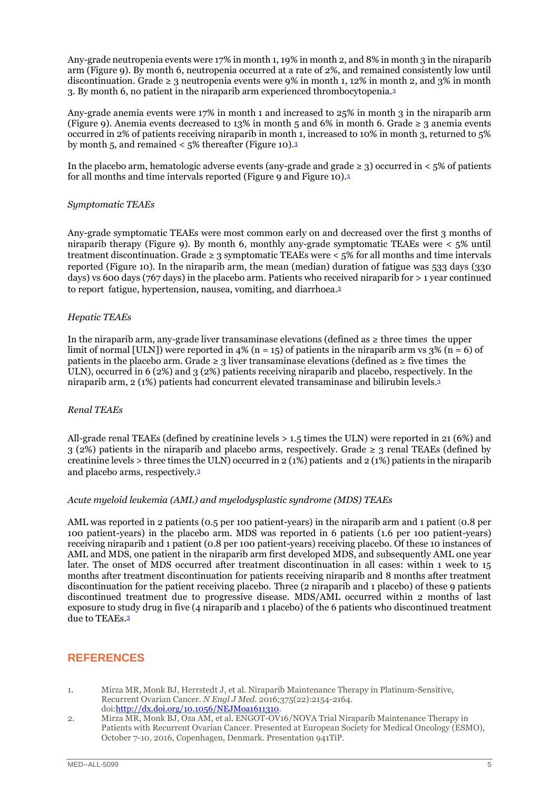Any-grade neutropenia events were 17% in month 1, 19% in month 2, and 8% in month 3 in the niraparib arm (Figure 9). By month 6, neutropenia occurred at a rate of 2%, and remained consistently low until discontinuation. Grade  $\geq 3$  neutropenia events were 9% in month 1, 12% in month 2, and 3% in month 3. By month 6, no patient in the niraparib arm experienced thrombocytopenia.[3](#page-5-0)

Any-grade anemia events were 17% in month 1 and increased to 25% in month 3 in the niraparib arm (Figure 9). Anemia events decreased to 13% in month 5 and 6% in month 6. Grade  $\geq$  3 anemia events occurred in 2% of patients receiving niraparib in month 1, increased to 10% in month 3, returned to 5% by month 5, and remained < 5% thereafter (Figure 10). [3](#page-5-0)

In the placebo arm, hematologic adverse events (any-grade and grade  $\geq$  3) occurred in < 5% of patients for all months and time intervals reported (Figure 9 and Figure 10). [3](#page-5-0)

#### *Symptomatic TEAEs*

Any-grade symptomatic TEAEs were most common early on and decreased over the first 3 months of niraparib therapy (Figure 9). By month 6, monthly any-grade symptomatic TEAEs were < 5% until treatment discontinuation. Grade  $\geq$  3 symptomatic TEAEs were  $\leq$  5% for all months and time intervals reported (Figure 10). In the niraparib arm, the mean (median) duration of fatigue was 533 days (330 days) vs 600 days (767 days) in the placebo arm. Patients who received niraparib for > 1 year continued to report fatigue, hypertension, nausea, vomiting, and diarrhoea[.](#page-5-0) 3

#### *Hepatic TEAEs*

In the niraparib arm, any-grade liver transaminase elevations (defined as ≥ three times the upper limit of normal [ULN]) were reported in 4% (n = 15) of patients in the niraparib arm vs  $3\%$  (n = 6) of patients in the placebo arm. Grade  $\geq 3$  liver transaminase elevations (defined as  $\geq$  five times the ULN), occurred in 6 (2%) and 3 (2%) patients receiving niraparib and placebo, respectively. In the niraparib arm, 2 (1%) patients had concurrent elevated transaminase and bilirubin levels.[3](#page-5-0)

#### *Renal TEAEs*

All-grade renal TEAEs (defined by creatinine levels > 1.5 times the ULN) were reported in 21 (6%) and  $3$  (2%) patients in the niraparib and placebo arms, respectively. Grade  $\geq$  3 renal TEAEs (defined by creatinine levels > three times the ULN) occurred in 2 (1%) patients and 2 (1%) patients in the niraparib and placebo arms, respectively.[3](#page-5-0)

#### *Acute myeloid leukemia (AML) and myelodysplastic syndrome (MDS) TEAEs*

AML was reported in 2 patients (0.5 per 100 patient-years) in the niraparib arm and 1 patient (0.8 per 100 patient-years) in the placebo arm. MDS was reported in 6 patients (1.6 per 100 patient-years) receiving niraparib and 1 patient (0.8 per 100 patient-years) receiving placebo. Of these 10 instances of AML and MDS, one patient in the niraparib arm first developed MDS, and subsequently AML one year later. The onset of MDS occurred after treatment discontinuation in all cases: within 1 week to 15 months after treatment discontinuation for patients receiving niraparib and 8 months after treatment discontinuation for the patient receiving placebo. Three (2 niraparib and 1 placebo) of these 9 patients discontinued treatment due to progressive disease. MDS/AML occurred within 2 months of last exposure to study drug in five (4 niraparib and 1 placebo) of the 6 patients who discontinued treatment due to TEAEs. [3](#page-5-0)

## **REFERENCES**

- <span id="page-4-0"></span>1. Mirza MR, Monk BJ, Herrstedt J, et al. Niraparib Maintenance Therapy in Platinum-Sensitive, Recurrent Ovarian Cancer. *N Engl J Med.* 2016;375(22):2154-2164. doi[:http://dx.doi.org/10.1056/NEJMoa1611310.](http://dx.doi.org/10.1056/NEJMoa1611310)
- <span id="page-4-1"></span>2. Mirza MR, Monk BJ, Oza AM, et al. ENGOT-OV16/NOVA Trial Niraparib Maintenance Therapy in Patients with Recurrent Ovarian Cancer. Presented at European Society for Medical Oncology (ESMO), October 7-10, 2016, Copenhagen, Denmark. Presentation 941TiP.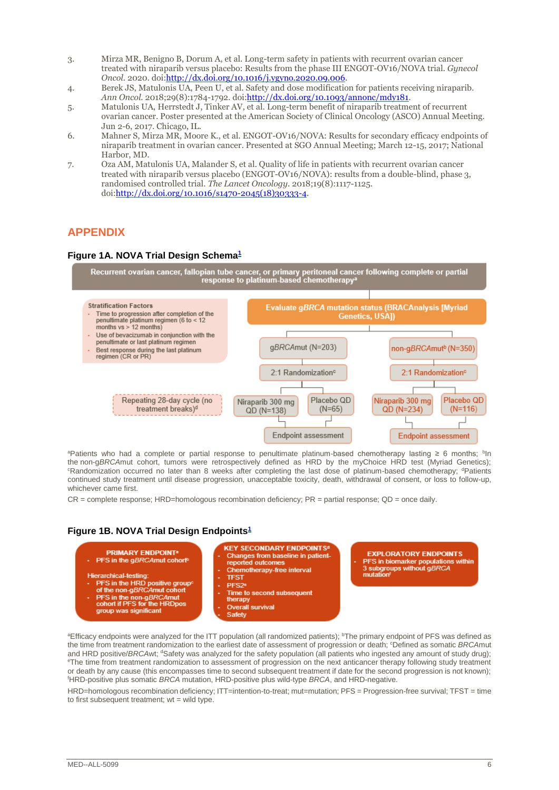- <span id="page-5-0"></span>3. Mirza MR, Benigno B, Dorum A, et al. Long-term safety in patients with recurrent ovarian cancer treated with niraparib versus placebo: Results from the phase III ENGOT-OV16/NOVA trial. *Gynecol Oncol.* 2020. doi[:http://dx.doi.org/10.1016/j.ygyno.2020.09.006.](http://dx.doi.org/10.1016/j.ygyno.2020.09.006)
- <span id="page-5-1"></span>4. Berek JS, Matulonis UA, Peen U, et al. Safety and dose modification for patients receiving niraparib. *Ann Oncol.* 2018;29(8):1784-1792. doi[:http://dx.doi.org/10.1093/annonc/mdy181.](http://dx.doi.org/10.1093/annonc/mdy181)
- <span id="page-5-2"></span>5. Matulonis UA, Herrstedt J, Tinker AV, et al. Long-term benefit of niraparib treatment of recurrent ovarian cancer. Poster presented at the American Society of Clinical Oncology (ASCO) Annual Meeting. Jun 2-6, 2017. Chicago, IL.
- <span id="page-5-3"></span>6. Mahner S, Mirza MR, Moore K., et al. ENGOT-OV16/NOVA: Results for secondary efficacy endpoints of niraparib treatment in ovarian cancer. Presented at SGO Annual Meeting; March 12-15, 2017; National Harbor, MD.
- <span id="page-5-4"></span>7. Oza AM, Matulonis UA, Malander S, et al. Quality of life in patients with recurrent ovarian cancer treated with niraparib versus placebo (ENGOT-OV16/NOVA): results from a double-blind, phase 3, randomised controlled trial. *The Lancet Oncology.* 2018;19(8):1117-1125. doi[:http://dx.doi.org/10.1016/s1470-2045\(18\)30333-4.](http://dx.doi.org/10.1016/s1470-2045(18)30333-4)

## **APPENDIX**

### **Figure 1A. NOVA Trial Design Schema[1](#page-4-0)**

Recurrent ovarian cancer, fallopian tube cancer, or primary peritoneal cancer following complete or partial<br>response to platinum-based chemotherapy<sup>a</sup>



<sup>a</sup>Patients who had a complete or partial response to penultimate platinum-based chemotherapy lasting ≥ 6 months; <sup>b</sup>ln the non-g*BRCA*mut cohort, tumors were retrospectively defined as HRD by the myChoice HRD test (Myriad Genetics); <sup>c</sup>Randomization occurred no later than 8 weeks after completing the last dose of platinum-based chemotherapy; <sup>d</sup>Patients continued study treatment until disease progression, unacceptable toxicity, death, withdrawal of consent, or loss to follow-up, whichever came first.

 $CR =$  complete response; HRD=homologous recombination deficiency;  $PR =$  partial response;  $QD =$  once daily.

## **Figure 1B. NOVA Trial Design Endpoints[1](#page-4-0)**



aEfficacy endpoints were analyzed for the ITT population (all randomized patients); <sup>b</sup>The primary endpoint of PFS was defined as the time from treatment randomization to the earliest date of assessment of progression or death; <sup>c</sup>Defined as somatic *BRCA*mut and HRD positive/*BRCAwt*; <sup>d</sup>Safety was analyzed for the safety population (all patients who ingested any amount of study drug); eThe time from treatment randomization to assessment of progression on the next anticancer therapy following study treatment or death by any cause (this encompasses time to second subsequent treatment if date for the second progression is not known); <sup>f</sup>HRD-positive plus somatic *BRCA* mutation, HRD-positive plus wild-type *BRCA*, and HRD-negative.

HRD=homologous recombination deficiency; ITT=intention-to-treat; mut=mutation; PFS = Progression-free survival; TFST = time to first subsequent treatment;  $wt = wild$  type.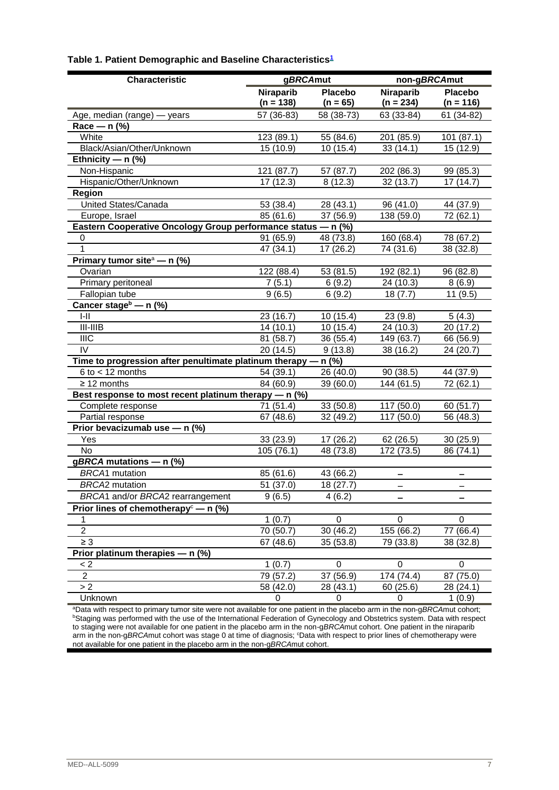| <b>Characteristic</b>                                            | gBRCAmut    |                | non-gBRCAmut             |                |
|------------------------------------------------------------------|-------------|----------------|--------------------------|----------------|
|                                                                  | Niraparib   | <b>Placebo</b> | Niraparib                | <b>Placebo</b> |
|                                                                  | $(n = 138)$ | $(n = 65)$     | $(n = 234)$              | $(n = 116)$    |
| Age, median (range) - years                                      | 57 (36-83)  | 58 (38-73)     | 63 (33-84)               | 61 (34-82)     |
| Race - n (%)                                                     |             |                |                          |                |
| White                                                            | 123 (89.1)  | 55 (84.6)      | 201 (85.9)               | 101 (87.1)     |
| Black/Asian/Other/Unknown                                        | 15 (10.9)   | 10(15.4)       | 33(14.1)                 | 15 (12.9)      |
| Ethnicity — $n$ (%)                                              |             |                |                          |                |
| Non-Hispanic                                                     | 121 (87.7)  | 57 (87.7)      | 202 (86.3)               | 99 (85.3)      |
| Hispanic/Other/Unknown                                           | 17(12.3)    | 8(12.3)        | 32 (13.7)                | 17(14.7)       |
| Region                                                           |             |                |                          |                |
| <b>United States/Canada</b>                                      | 53 (38.4)   | 28 (43.1)      | 96 (41.0)                | 44 (37.9)      |
| Europe, Israel                                                   | 85 (61.6)   | 37 (56.9)      | 138 (59.0)               | 72 (62.1)      |
| Eastern Cooperative Oncology Group performance status - n (%)    |             |                |                          |                |
| 0                                                                | 91 (65.9)   | 48 (73.8)      | 160 (68.4)               | 78 (67.2)      |
| $\mathbf{1}$                                                     | 47 (34.1)   | 17(26.2)       | $\overline{74}$ (31.6)   | 38 (32.8)      |
| Primary tumor site <sup>a</sup> - n (%)                          |             |                |                          |                |
| Ovarian                                                          | 122 (88.4)  | 53 (81.5)      | 192 (82.1)               | 96 (82.8)      |
| Primary peritoneal                                               | 7(5.1)      | 6(9.2)         | 24 (10.3)                | 8(6.9)         |
| Fallopian tube                                                   | 9(6.5)      | 6(9.2)         | 18(7.7)                  | 11(9.5)        |
| Cancer stage <sup>b</sup> - n (%)                                |             |                |                          |                |
| $I-II$                                                           | 23 (16.7)   | 10 (15.4)      | 23 (9.8)                 | 5(4.3)         |
| $III-IIIB$                                                       | 14 (10.1)   | 10(15.4)       | 24 (10.3)                | 20 (17.2)      |
| <b>IIIC</b>                                                      | 81 (58.7)   | 36 (55.4)      | 149 (63.7)               | 66 (56.9)      |
| IV                                                               | 20 (14.5)   | 9(13.8)        | 38 (16.2)                | 24 (20.7)      |
| Time to progression after penultimate platinum therapy $-$ n (%) |             |                |                          |                |
| $6$ to $<$ 12 months                                             | 54 (39.1)   | 26 (40.0)      | 90 (38.5)                | 44 (37.9)      |
| $\geq$ 12 months                                                 | 84 (60.9)   | 39 (60.0)      | 144 (61.5)               | 72 (62.1)      |
| Best response to most recent platinum therapy $-$ n (%)          |             |                |                          |                |
| Complete response                                                | 71(51.4)    | 33 (50.8)      | 117 (50.0)               | 60 (51.7)      |
| Partial response                                                 | 67 (48.6)   | 32 (49.2)      | 117 (50.0)               | 56 (48.3)      |
| Prior bevacizumab use - n (%)                                    |             |                |                          |                |
| Yes                                                              | 33(23.9)    | 17 (26.2)      | 62 (26.5)                | 30(25.9)       |
| No.                                                              | 105 (76.1)  | 48 (73.8)      | 172 (73.5)               | 86 (74.1)      |
| gBRCA mutations - $n$ (%)                                        |             |                |                          |                |
| <b>BRCA1</b> mutation                                            | 85 (61.6)   | 43 (66.2)      |                          |                |
| <b>BRCA2</b> mutation                                            | 51 (37.0)   | 18 (27.7)      |                          |                |
| BRCA1 and/or BRCA2 rearrangement                                 | 9(6.5)      | 4(6.2)         |                          |                |
| Prior lines of chemotherapy <sup>c</sup> — n (%)                 |             |                |                          |                |
| 1                                                                | 1(0.7)      | $\mathbf 0$    | $\mathbf 0$              | $\mathbf 0$    |
| $\overline{2}$                                                   | 70 (50.7)   | 30 (46.2)      | 155(66.2)                | 77(66.4)       |
| $\geq 3$                                                         | 67 (48.6)   | 35(53.8)       | 79 (33.8)                | 38 (32.8)      |
| Prior platinum therapies - n (%)                                 |             |                |                          |                |
| < 2                                                              | 1(0.7)      | $\mathbf 0$    | $\mathbf 0$              | $\mathbf 0$    |
| $\overline{2}$                                                   | 79 (57.2)   | 37 (56.9)      | $\overline{17}$ 4 (74.4) | 87 (75.0)      |
| > 2                                                              | 58 (42.0)   | 28 (43.1)      | 60 (25.6)                | 28 (24.1)      |
| Unknown                                                          | 0           | $\mathbf 0$    | 0                        | 1(0.9)         |

## **Table 1. Patient Demographic and Baseline Characteristic[s](#page-4-0)<sup>1</sup>**

<sup>a</sup>Data with respect to primary tumor site were not available for one patient in the placebo arm in the non-g*BRCA*mut cohort; <sup>b</sup>Staging was performed with the use of the International Federation of Gynecology and Obstetrics system. Data with respect to staging were not available for one patient in the placebo arm in the non-g*BRCA*mut cohort. One patient in the niraparib arm in the non-gBRCAmut cohort was stage 0 at time of diagnosis; <sup>c</sup>Data with respect to prior lines of chemotherapy were not available for one patient in the placebo arm in the non-g*BRCA*mut cohort.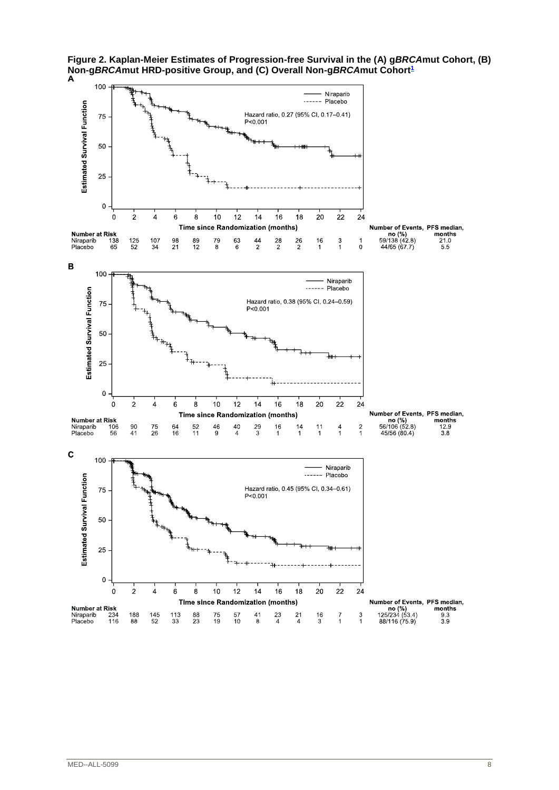

**Figure 2. Kaplan-Meier Estimates of Progression-free Survival in the (A) g***BRCA***mut Cohort, (B) Non-g***BRCA***mut HRD-positive Group, and (C) Overall Non-g***BRCA***mut Cohort[1](#page-4-0)**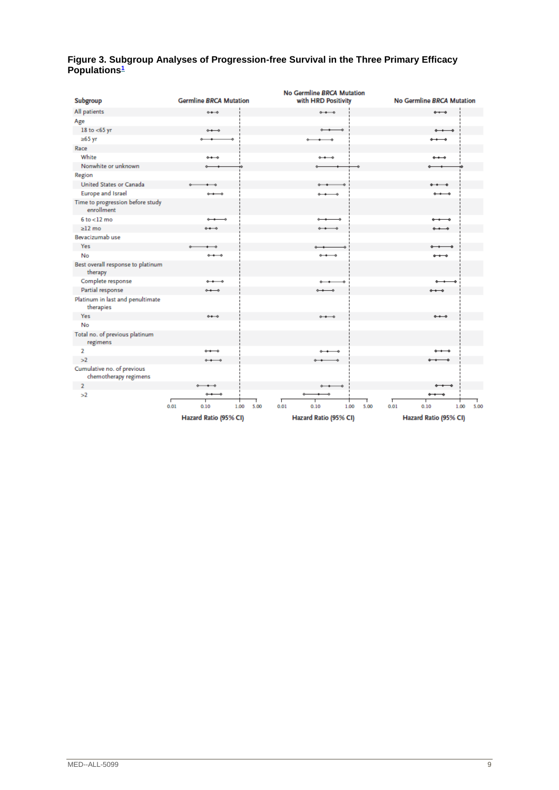#### **Figure 3. Subgroup Analyses of Progression-free Survival in the Three Primary Efficacy Populations[1](#page-4-0)**

| Subgroup                                            | <b>Germline BRCA Mutation</b>     | <b>No Germline BRCA Mutation</b><br>with HRD Positivity | <b>No Germline BRCA Mutation</b>                                |
|-----------------------------------------------------|-----------------------------------|---------------------------------------------------------|-----------------------------------------------------------------|
|                                                     |                                   | $\rightarrow$                                           |                                                                 |
| All patients                                        | $-0.4 - 0.0$                      |                                                         | $\rightarrow$                                                   |
| Age                                                 |                                   |                                                         |                                                                 |
| 18 to $<$ 65 yr                                     | $\rightarrow$                     | ÷                                                       | $\longrightarrow$                                               |
| $≥65$ yr                                            |                                   | -6                                                      | $\rightarrow$                                                   |
| Race                                                |                                   |                                                         |                                                                 |
| White                                               | $0 + 0$                           | $\circ\bullet\bullet\circ$                              | $\stackrel{\circ}{\bullet}$                                     |
| Nonwhite or unknown                                 |                                   |                                                         |                                                                 |
| Region                                              |                                   |                                                         |                                                                 |
| United States or Canada                             | ۰<br>$\overline{\phantom{a}}$     | $\rightarrow$<br>۰                                      | $\bullet\bullet\bullet\bullet$                                  |
| <b>Europe and Israel</b>                            | $\leftrightarrow$                 | $\longleftrightarrow$                                   | $\longrightarrow$                                               |
| Time to progression before study<br>enrollment      |                                   |                                                         |                                                                 |
| $6$ to $<$ 12 mo                                    | $\rightarrow$<br>-0               | ÷,                                                      | ⊸<br>$- -$                                                      |
| $>12$ mo                                            | $0 + 0$                           | $\circ\bullet\bullet\bullet$                            | مصمه                                                            |
| Bevacizumab use                                     |                                   |                                                         |                                                                 |
| <b>Yes</b>                                          | ò.<br>— 0                         | ە                                                       |                                                                 |
| No                                                  | $\leftarrow$                      | $\leftrightarrow$                                       | $\longrightarrow$                                               |
| Best overall response to platinum<br>therapy        |                                   |                                                         |                                                                 |
| Complete response                                   | $\circ$ + $\circ$                 | $\rightarrow$<br>÷                                      |                                                                 |
| Partial response                                    | $\leftarrow$                      | $\rightarrow$                                           | $\circ\hspace{0.1cm}\bullet\hspace{0.1cm}\bullet\hspace{0.1cm}$ |
| Platinum in last and penultimate<br>therapies       |                                   |                                                         |                                                                 |
| <b>Yes</b>                                          | $+ -$                             | $\circ\bullet\bullet\circ$                              | $\leftrightarrow$                                               |
| No                                                  |                                   |                                                         |                                                                 |
| Total no. of previous platinum<br>regimens          |                                   |                                                         |                                                                 |
| 2                                                   | $\circ\bullet\bullet\circ$        | $0 - 1$<br>ە                                            |                                                                 |
| >2                                                  | $\rightarrow$                     |                                                         |                                                                 |
| Cumulative no. of previous<br>chemotherapy regimens |                                   |                                                         |                                                                 |
| $\overline{2}$                                      | $\longleftrightarrow$             | $\circ\bullet\bullet\bullet$                            |                                                                 |
| >2                                                  | $\leftarrow$                      |                                                         |                                                                 |
|                                                     | ℸ<br>0.01<br>5.00<br>0.10<br>1.00 | г<br>0.01<br>0.10<br>1.00<br>5.00                       | 0.01<br>5.00<br>0.10<br>1.00                                    |
|                                                     | Hazard Ratio (95% CI)             | Hazard Ratio (95% CI)                                   | Hazard Ratio (95% CI)                                           |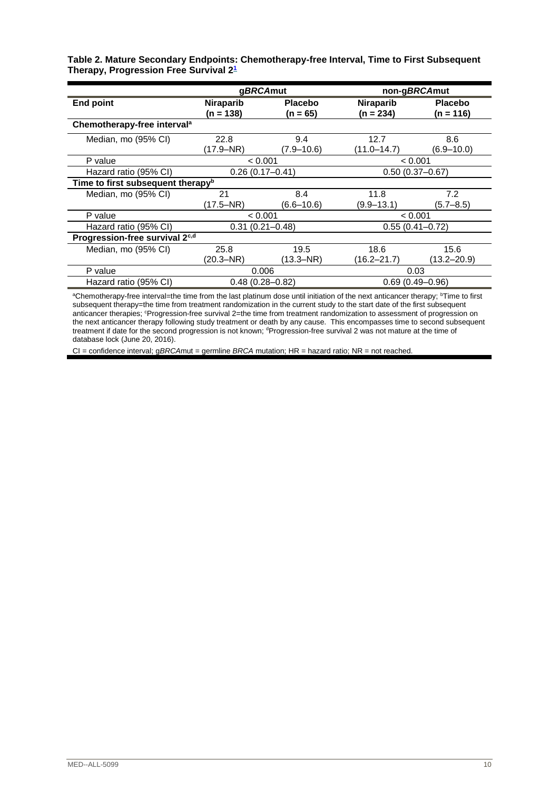|                                                   | Table 2. Mature Secondary Endpoints: Chemotherapy-free Interval, Time to First Subsequent |  |
|---------------------------------------------------|-------------------------------------------------------------------------------------------|--|
| Therapy, Progression Free Survival 2 <del>1</del> |                                                                                           |  |

|                                               | gBRCAmut                        |                            |                          | non-gBRCAmut                |
|-----------------------------------------------|---------------------------------|----------------------------|--------------------------|-----------------------------|
| <b>End point</b>                              | <b>Niraparib</b><br>$(n = 138)$ | <b>Placebo</b><br>(n = 65) | Niraparib<br>$(n = 234)$ | <b>Placebo</b><br>(n = 116) |
| Chemotherapy-free interval <sup>a</sup>       |                                 |                            |                          |                             |
| Median, mo (95% CI)                           | 22.8<br>(17.9–NR)               | 9.4<br>(7.9–10.6)          | 12.7<br>(11.0–14.7)      | 8.6<br>(6.9–10.0)           |
| P value                                       | < 0.001                         |                            |                          | < 0.001                     |
| Hazard ratio (95% CI)                         | $0.26(0.17 - 0.41)$             |                            | $0.50(0.37 - 0.67)$      |                             |
| Time to first subsequent therapy <sup>b</sup> |                                 |                            |                          |                             |
| Median, mo (95% CI)                           | 21<br>$(17.5 - NR)$             | 8.4<br>(6.6–10.6)          | 11.8<br>$(9.9 - 13.1)$   | 7.2<br>$(5.7 - 8.5)$        |
| P value                                       | < 0.001                         |                            |                          | < 0.001                     |
| Hazard ratio (95% CI)                         | $0.31(0.21 - 0.48)$             |                            |                          | $0.55(0.41 - 0.72)$         |
| Progression-free survival 2 <sup>c,d</sup>    |                                 |                            |                          |                             |
| Median, mo (95% CI)                           | 25.8<br>(20.3–NR)               | 19.5<br>(13.3–NR)          | 18.6<br>$(16.2 - 21.7)$  | 15.6<br>(13.2–20.9)         |
| P value                                       | 0.006                           |                            |                          | 0.03                        |
| Hazard ratio (95% CI)                         | $0.48(0.28 - 0.82)$             |                            |                          | $0.69(0.49 - 0.96)$         |

aChemotherapy-free interval=the time from the last platinum dose until initiation of the next anticancer therapy; <sup>b</sup>Time to first subsequent therapy=the time from treatment randomization in the current study to the start date of the first subsequent anticancer therapies; <sup>c</sup>Progression-free survival 2=the time from treatment randomization to assessment of progression on the next anticancer therapy following study treatment or death by any cause. This encompasses time to second subsequent treatment if date for the second progression is not known; <sup>d</sup>Progression-free survival 2 was not mature at the time of database lock (June 20, 2016).

CI = confidence interval; g*BRCA*mut = germline *BRCA* mutation; HR = hazard ratio; NR = not reached.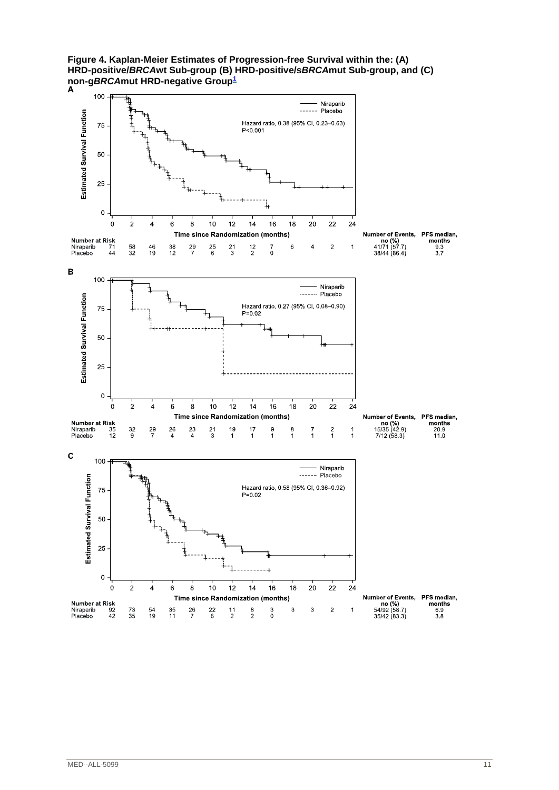**Figure 4. Kaplan-Meier Estimates of Progression-free Survival within the: (A) HRD-positive/***BRCA***wt Sub-group (B) HRD-positive/s***BRCA***mut Sub-group, and (C) non-g***BRCA***mut HRD-negative Group[1](#page-4-0)**

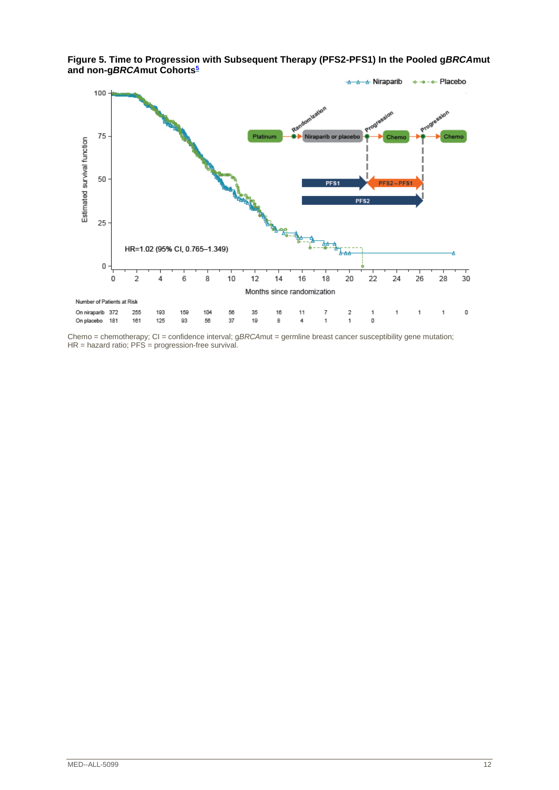

**Figure 5. Time to Progression with Subsequent Therapy (PFS2-PFS1) In the Pooled g***BRCA***mut and non-g***BRCA***mut Cohorts[5](#page-5-2)**

Chemo = chemotherapy; CI = confidence interval; gBRCAmut = germline breast cancer susceptibility gene mutation;  $HR =$  hazard ratio;  $PFS =$  progression-free survival.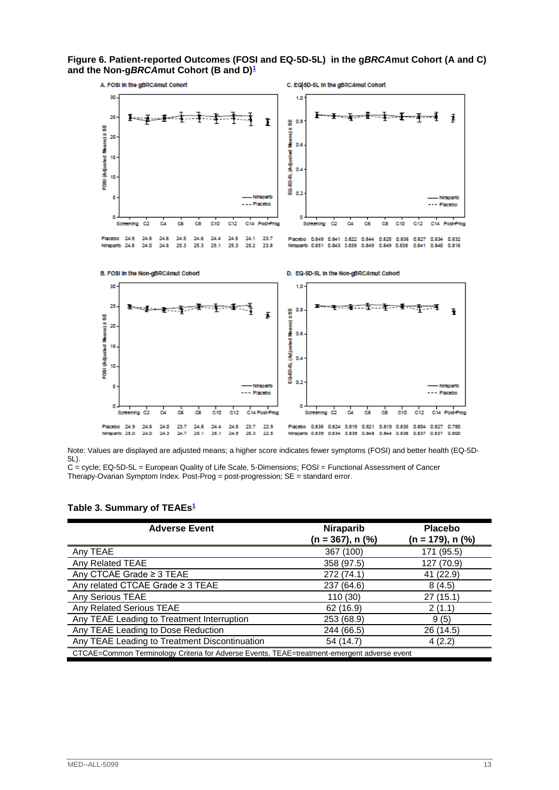**Figure 6. Patient-reported Outcomes (FOSI and EQ-5D-5L) in the g***BRCA***mut Cohort (A and C) and the Non-g***BRCA***mut Cohort (B and D)[1](#page-4-0)**





C = cycle; EQ-5D-5L = European Quality of Life Scale, 5-Dimensions; FOSI = Functional Assessment of Cancer Therapy-Ovarian Symptom Index. Post-Prog = post-progression; SE = standard error.

#### **Table 3. Summary of TEAEs[1](#page-4-0)**

| <b>Adverse Event</b>                                                                        | Niraparib        | <b>Placebo</b>   |
|---------------------------------------------------------------------------------------------|------------------|------------------|
|                                                                                             | (n = 367), n (%) | (n = 179), n (%) |
| Any TEAE                                                                                    | 367 (100)        | 171 (95.5)       |
| Any Related TEAE                                                                            | 358 (97.5)       | 127 (70.9)       |
| Any CTCAE Grade ≥ 3 TEAE                                                                    | 272 (74.1)       | 41 (22.9)        |
| Any related CTCAE Grade ≥ 3 TEAE                                                            | 237 (64.6)       | 8(4.5)           |
| Any Serious TEAE                                                                            | 110 (30)         | 27 (15.1)        |
| Any Related Serious TEAE                                                                    | 62 (16.9)        | 2(1.1)           |
| Any TEAE Leading to Treatment Interruption                                                  | 253 (68.9)       | 9(5)             |
| Any TEAE Leading to Dose Reduction                                                          | 244 (66.5)       | 26 (14.5)        |
| Any TEAE Leading to Treatment Discontinuation                                               | 54 (14.7)        | 4(2.2)           |
| CTCAE=Common Terminology Criteria for Adverse Events, TEAE=treatment-emergent adverse event |                  |                  |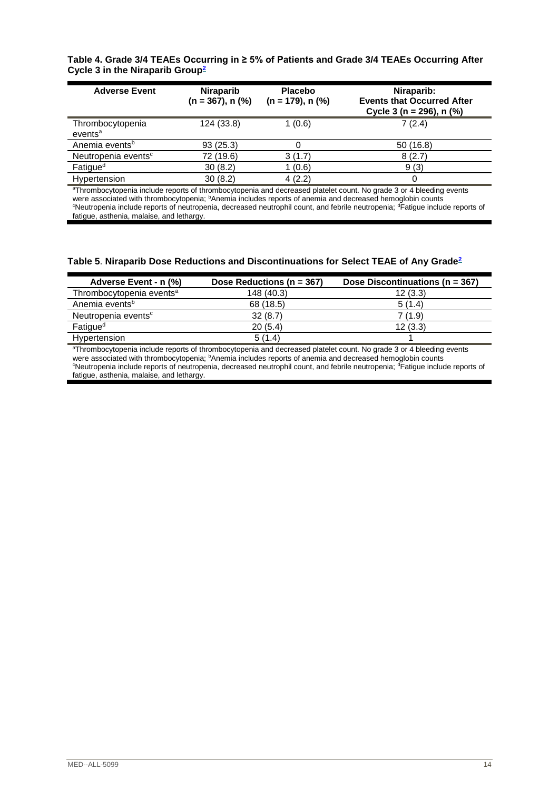#### **Table 4. Grade 3/4 TEAEs Occurring in ≥ 5% of Patients and Grade 3/4 TEAEs Occurring After Cycle 3 in the Niraparib Group[2](#page-4-1)**

| <b>Adverse Event</b>                    | <b>Niraparib</b><br>$(n = 367)$ , n $(\%)$ | <b>Placebo</b><br>$(n = 179)$ , n $(\%)$ | Niraparib:<br><b>Events that Occurred After</b><br>Cycle 3 ( $n = 296$ ), n (%) |
|-----------------------------------------|--------------------------------------------|------------------------------------------|---------------------------------------------------------------------------------|
| Thrombocytopenia<br>events <sup>a</sup> | 124 (33.8)                                 | 1(0.6)                                   | 7(2.4)                                                                          |
| Anemia events <sup>b</sup>              | 93(25.3)                                   |                                          | 50(16.8)                                                                        |
| Neutropenia events <sup>c</sup>         | 72 (19.6)                                  | 3(1.7)                                   | 8(2.7)                                                                          |
| Fatigue <sup>d</sup>                    | 30(8.2)                                    | 1(0.6)                                   | 9(3)                                                                            |
| Hypertension                            | 30(8.2)                                    | 4(2.2)                                   |                                                                                 |

<sup>a</sup>Thrombocytopenia include reports of thrombocytopenia and decreased platelet count. No grade 3 or 4 bleeding events were associated with thrombocytopenia; bAnemia includes reports of anemia and decreased hemoglobin counts <sup>c</sup>Neutropenia include reports of neutropenia, decreased neutrophil count, and febrile neutropenia; <sup>d</sup>Fatigue include reports of fatigue, asthenia, malaise, and lethargy.

#### **Table 5**. **Niraparib Dose Reductions and Discontinuations for Select TEAE of Any Grade[2](#page-4-1)**

| Adverse Event - n (%)                                                                                                   | Dose Reductions ( $n = 367$ ) | Dose Discontinuations (n = 367) |  |
|-------------------------------------------------------------------------------------------------------------------------|-------------------------------|---------------------------------|--|
| Thrombocytopenia events <sup>a</sup>                                                                                    | 148 (40.3)                    | 12(3.3)                         |  |
| Anemia events <sup>b</sup>                                                                                              | 68 (18.5)                     | 5(1.4)                          |  |
| Neutropenia events <sup>c</sup>                                                                                         | 32(8.7)                       | 7 (1.9)                         |  |
| Fatigue <sup>d</sup>                                                                                                    | 20(5.4)                       | 12(3.3)                         |  |
| Hypertension                                                                                                            | 5(1.4)                        |                                 |  |
| 8Thursday, drained british user and there has dependenced dependent detailed actual. Als media A su did british accorda |                               |                                 |  |

<sup>a</sup>Thrombocytopenia include reports of thrombocytopenia and decreased platelet count. No grade 3 or 4 bleeding events were associated with thrombocytopenia; <sup>b</sup>Anemia includes reports of anemia and decreased hemoglobin counts <sup>c</sup>Neutropenia include reports of neutropenia, decreased neutrophil count, and febrile neutropenia; <sup>d</sup>Fatigue include reports of fatigue, asthenia, malaise, and lethargy.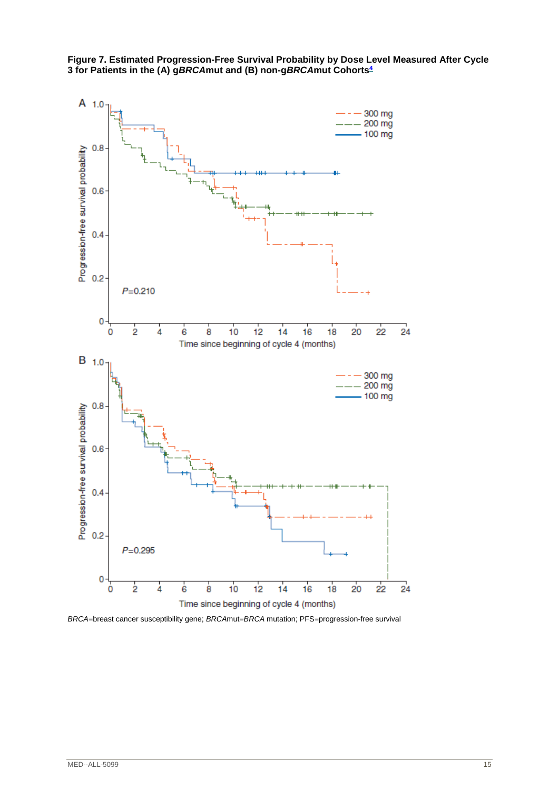

**Figure 7. Estimated Progression-Free Survival Probability by Dose Level Measured After Cycle 3 for Patients in the (A) g***BRCA***mut and (B) non-g***BRCA***mut Cohort[s](#page-5-1)<sup>4</sup>**

*BRCA*=breast cancer susceptibility gene; *BRCA*mut=*BRCA* mutation; PFS=progression-free survival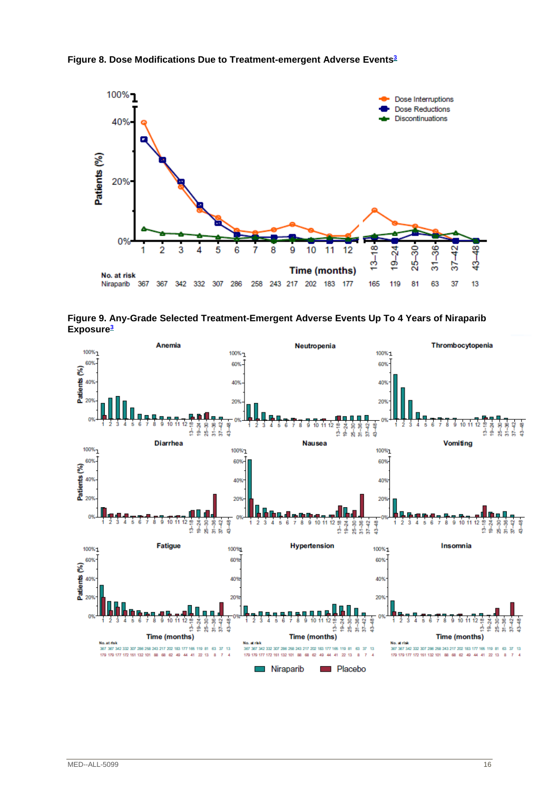



**Figure 9. Any-Grade Selected Treatment-Emergent Adverse Events Up To 4 Years of Niraparib Exposure[3](#page-5-0)**